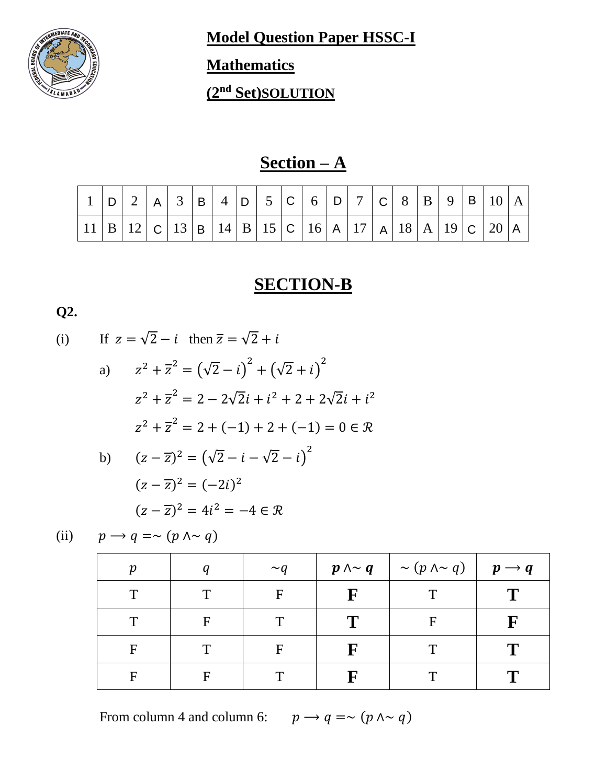

**Model Question Paper HSSC-I** 

## **Mathematics**

**(2nd Set)SOLUTION**

## **Section – A**

|                                                                                                                                                            |  |  |  |  |  |  |  |  | $1$   D   2   A   3   B   4   D   5   C   6   D   7   C   8   B   9   B   10   A |  |
|------------------------------------------------------------------------------------------------------------------------------------------------------------|--|--|--|--|--|--|--|--|----------------------------------------------------------------------------------|--|
| $\boxed{11 \mid B \mid 12} \mid C \mid 13 \mid B \mid 14 \mid B \mid 15 \mid C \mid 16 \mid A \mid 17 \mid A \mid 18 \mid A \mid 19 \mid C \mid 20 \mid A$ |  |  |  |  |  |  |  |  |                                                                                  |  |

## **SECTION-B**

**Q2.**

(i) If 
$$
z = \sqrt{2} - i
$$
 then  $\overline{z} = \sqrt{2} + i$   
\na)  $z^2 + \overline{z}^2 = (\sqrt{2} - i)^2 + (\sqrt{2} + i)^2$   
\n $z^2 + \overline{z}^2 = 2 - 2\sqrt{2}i + i^2 + 2 + 2\sqrt{2}i + i^2$   
\n $z^2 + \overline{z}^2 = 2 + (-1) + 2 + (-1) = 0 \in \mathcal{R}$   
\nb)  $(z - \overline{z})^2 = (\sqrt{2} - i - \sqrt{2} - i)^2$ 

$$
(z - \overline{z})^2 = (-2i)^2
$$

$$
(z - \overline{z})^2 = 4i^2 = -4 \in \mathcal{R}
$$

(ii) 
$$
p \rightarrow q = \sim (p \land \sim q)
$$

|   | $\sim a$ | $p \wedge \sim q$ | $\vert \sim (p \land \sim q) \vert \quad p \rightarrow q$ |    |
|---|----------|-------------------|-----------------------------------------------------------|----|
|   | F        | $\mathbf F$       |                                                           |    |
|   |          | m                 |                                                           | ┳₹ |
| F |          | $\mathbf F$       |                                                           |    |
|   |          | П                 |                                                           |    |

From column 4 and column 6:  $p \rightarrow q = \sim (p \land \sim q)$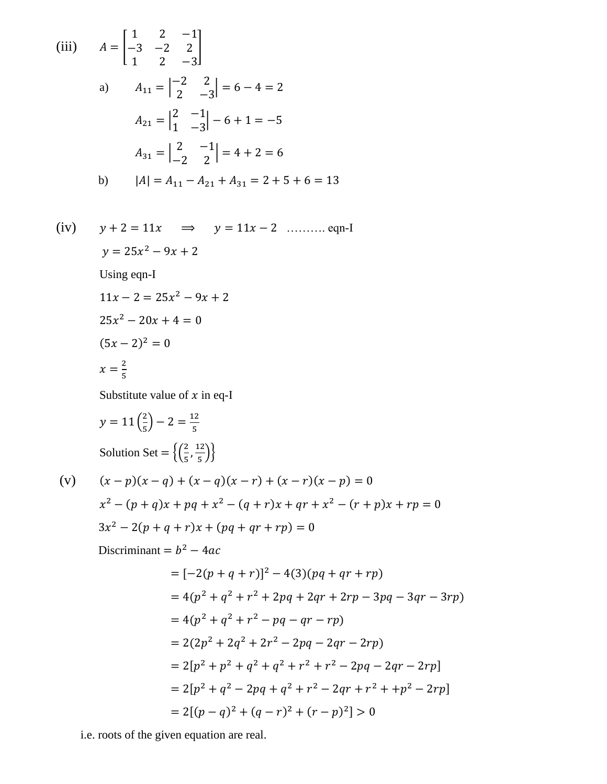(iii) 
$$
A = \begin{bmatrix} 1 & 2 & -1 \\ -3 & -2 & 2 \\ 1 & 2 & -3 \end{bmatrix}
$$
  
\na)  $A_{11} = \begin{vmatrix} -2 & 2 \\ 2 & -3 \end{vmatrix} = 6 - 4 = 2$   
\n $A_{21} = \begin{vmatrix} 2 & -1 \\ 1 & -3 \end{vmatrix} - 6 + 1 = -5$   
\n $A_{31} = \begin{vmatrix} 2 & -1 \\ -2 & 2 \end{vmatrix} = 4 + 2 = 6$   
\nb)  $|A| = A_{11} - A_{21} + A_{31} = 2 + 5 + 6 = 13$ 

(iv)  $y + 2 = 11x \implies y = 11x - 2$  ……….. eqn-I  $y = 25x^2 - 9x + 2$ Using eqn-I  $11x - 2 = 25x^2 - 9x + 2$  $25x^2 - 20x + 4 = 0$  $(5x - 2)^2 = 0$  $x=\frac{2}{5}$ 5

Substitute value of  $x$  in eq-I

$$
y = 11\left(\frac{2}{5}\right) - 2 = \frac{12}{5}
$$
  
Solution Set =  $\left\{\left(\frac{2}{5}, \frac{12}{5}\right)\right\}$ 

(v) 
$$
(x-p)(x-q) + (x-q)(x-r) + (x-r)(x-p) = 0
$$
  
\n $x^2 - (p+q)x + pq + x^2 - (q+r)x + qr + x^2 - (r+p)x + rp = 0$   
\n $3x^2 - 2(p+q+r)x + (pq+qr+rp) = 0$ 

Discriminant =  $b^2 - 4ac$ 

$$
= [-2(p+q+r)]^2 - 4(3)(pq+qr+rp)
$$
  
\n
$$
= 4(p^2+q^2+r^2+2pq+2qr+2rp-3pq-3qr-3rp)
$$
  
\n
$$
= 4(p^2+q^2+r^2-pq-qr-rp)
$$
  
\n
$$
= 2(2p^2+2q^2+2r^2-2pq-2qr-2rp)
$$
  
\n
$$
= 2[p^2+p^2+q^2+q^2+r^2+r^2-2pq-2qr-2rp]
$$
  
\n
$$
= 2[p^2+q^2-2pq+q^2+r^2-2qr+r^2+p^2-2rp]
$$
  
\n
$$
= 2[(p-q)^2+(q-r)^2+(r-p)^2]>0
$$

i.e. roots of the given equation are real.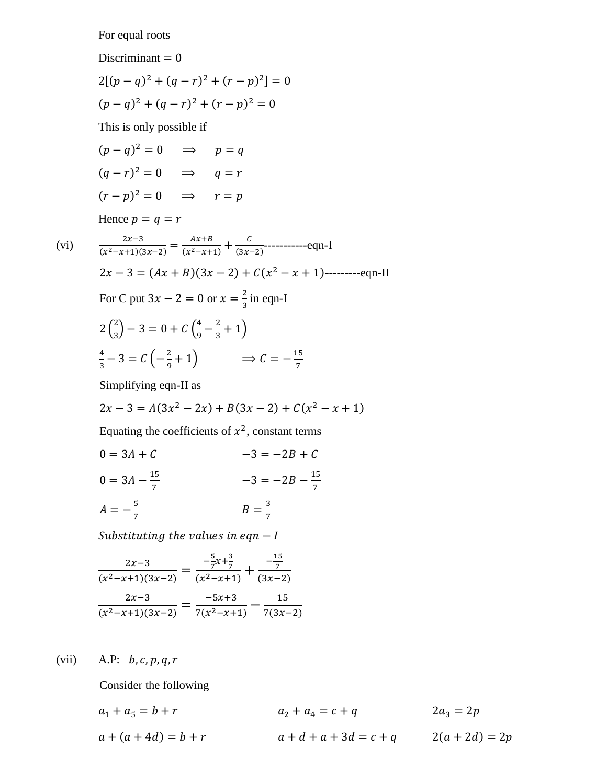For equal roots

Discriminant  $= 0$ 

$$
2[(p - q)^{2} + (q - r)^{2} + (r - p)^{2}] = 0
$$
  
(p - q)<sup>2</sup> + (q - r)<sup>2</sup> + (r - p)<sup>2</sup> = 0

This is only possible if

$$
(p - q)^2 = 0 \implies p = q
$$
  

$$
(q - r)^2 = 0 \implies q = r
$$
  

$$
(r - p)^2 = 0 \implies r = p
$$

Hence  $p = q = r$ 

(vi) 
$$
\frac{2x-3}{(x^2-x+1)(3x-2)} = \frac{Ax+B}{(x^2-x+1)} + \frac{C}{(3x-2)}
$$
......... eqn-I  
\n
$$
2x-3 = (Ax+B)(3x-2) + C(x^2 - x + 1)
$$
......- eqn-II  
\nFor C put  $3x - 2 = 0$  or  $x = \frac{2}{3}$  in eqn-I  
\n
$$
2(\frac{2}{3}) - 3 = 0 + C(\frac{4}{9} - \frac{2}{3} + 1)
$$
  
\n
$$
\frac{4}{3} - 3 = C(-\frac{2}{9} + 1) \implies C = -\frac{15}{7}
$$
  
\nSimplifying eqn-II as

Simplifying eqn-II as

$$
2x - 3 = A(3x2 - 2x) + B(3x - 2) + C(x2 - x + 1)
$$

Equating the coefficients of  $x^2$ , constant terms

$$
0 = 3A + C
$$
  
\n
$$
0 = 3A - \frac{15}{7}
$$
  
\n
$$
-3 = -2B + C
$$
  
\n
$$
-3 = -2B - \frac{15}{7}
$$

$$
A = -\frac{5}{7}
$$
 
$$
B = \frac{3}{7}
$$

Substituting the values in eqn  $-I$ 

$$
\frac{2x-3}{(x^2-x+1)(3x-2)} = \frac{-\frac{5}{7}x+\frac{3}{7}}{(x^2-x+1)} + \frac{-\frac{15}{7}}{(3x-2)}
$$

$$
\frac{2x-3}{(x^2-x+1)(3x-2)} = \frac{-5x+3}{7(x^2-x+1)} - \frac{15}{7(3x-2)}
$$

(vii) A.P:  $b, c, p, q, r$ 

Consider the following

$$
a_1 + a_5 = b + r
$$
  
\n
$$
a_2 + a_4 = c + q
$$
  
\n
$$
a_3 = 2p
$$
  
\n
$$
a + (a + 4d) = b + r
$$
  
\n
$$
a + d + a + 3d = c + q
$$
  
\n
$$
2(a + 2d) = 2p
$$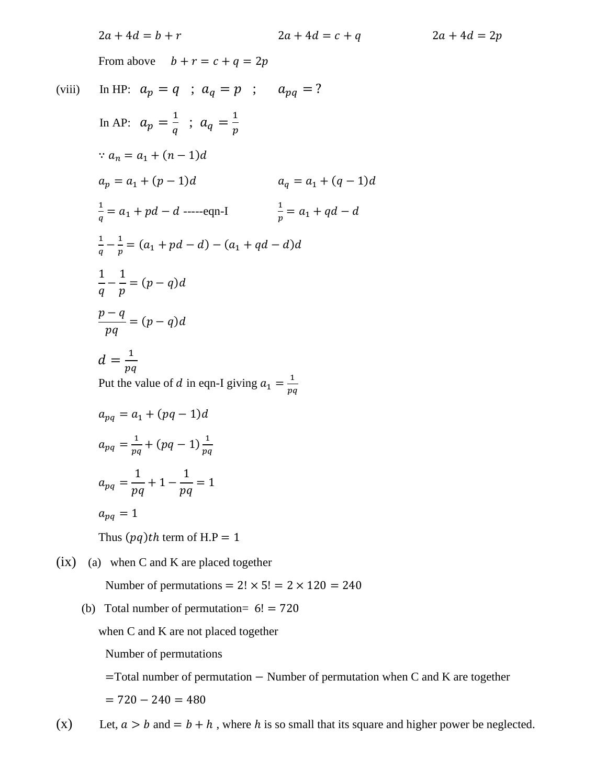$2a + 4d = b + r$   $2a + 4d = c + q$   $2a + 4d = 2p$ From above  $b + r = c + q = 2p$ (viii) In HP:  $a_p = q$  ;  $a_q = p$  ;  $a_{pq} = ?$ In AP:  $a_p = \frac{1}{a}$  $rac{1}{q}$  ;  $a_q = \frac{1}{p}$  $\overline{p}$  $a_n = a_1 + (n-1)d$  $a_p = a_1 + (p-1)d$   $a_q = a_1 + (q-1)d$ 1  $\frac{1}{q} = a_1 + pd - d$  -----eqn-I  $\frac{1}{p}$  $\frac{1}{p} = a_1 + qd - d$ 1  $\frac{1}{q} - \frac{1}{p}$  $\frac{1}{p} = (a_1 + pd - d) - (a_1 + qd - d)d$ 1  $\overline{q}$ − 1  $\overline{p}$  $=(p - q)d$  $p - q$  $pq$  $=(p - q)d$  $d=\frac{1}{n}$  $pq$ Put the value of d in eqn-I giving  $a_1 = \frac{1}{n_1}$  $pq$  $a_{na} = a_1 + (pq - 1)d$  $a_{pq} = \frac{1}{nq}$  $\frac{1}{pq} + (pq - 1)\frac{1}{pq}$  $pq$  $a_{pq} =$ 1  $pq$ + 1 − 1  $pq$  $= 1$  $a_{pq} = 1$ Thus  $(pq)$ th term of H.P = 1  $(ix)$  (a) when C and K are placed together

- Number of permutations =  $2! \times 5! = 2 \times 120 = 240$
- (b) Total number of permutation=  $6! = 720$

when C and K are not placed together Number of permutations =Total number of permutation − Number of permutation when C and K are together

 $= 720 - 240 = 480$ 

(x) Let,  $a > b$  and  $= b + h$ , where h is so small that its square and higher power be neglected.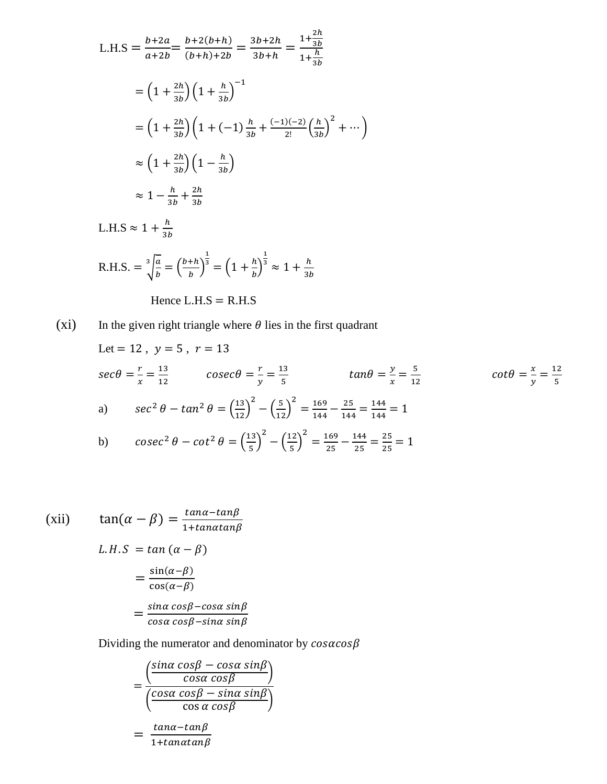$$
L.H.S = \frac{b+2a}{a+2b} = \frac{b+2(b+h)}{(b+h)+2b} = \frac{3b+2h}{3b+h} = \frac{1+\frac{2h}{3b}}{1+\frac{h}{3b}}
$$

$$
= \left(1+\frac{2h}{3b}\right)\left(1+\frac{h}{3b}\right)^{-1}
$$

$$
= \left(1+\frac{2h}{3b}\right)\left(1+(-1)\frac{h}{3b}+\frac{(-1)(-2)}{2!}\left(\frac{h}{3b}\right)^{2}+\cdots\right)
$$

$$
\approx \left(1+\frac{2h}{3b}\right)\left(1-\frac{h}{3b}\right)
$$

$$
\approx 1-\frac{h}{3b}+\frac{2h}{3b}
$$

$$
L.H.S \approx 1+\frac{h}{3b}
$$

$$
R.H.S. = \frac{3}{2}\left[\frac{a}{b}=\left(\frac{b+h}{b}\right)^{\frac{1}{3}}=\left(1+\frac{h}{b}\right)^{\frac{1}{3}}\approx 1+\frac{h}{3b}
$$

$$
R.H.S. = \sqrt[3]{\frac{a}{b}} = \left(\frac{b+h}{b}\right)^3 = \left(1 + \frac{h}{b}\right)^3 \approx 1 + \frac{h}{3b}
$$

Hence L.H.S = R.H.S

(xi) In the given right triangle where 
$$
\theta
$$
 lies in the first quadrant

\nLet = 12,  $y = 5$ ,  $r = 13$ 

\n
$$
\sec\theta = \frac{r}{x} = \frac{13}{12} \qquad \csc\theta = \frac{r}{y} = \frac{13}{5} \qquad \tan\theta = \frac{y}{x} = \frac{5}{12} \qquad \cot\theta = \frac{x}{y} = \frac{12}{5}
$$
\na)  $\sec^2\theta - \tan^2\theta = \left(\frac{13}{12}\right)^2 - \left(\frac{5}{12}\right)^2 = \frac{169}{144} - \frac{25}{144} = \frac{144}{144} = 1$ 

\nb)  $\csc^2\theta - \cot^2\theta = \left(\frac{13}{5}\right)^2 - \left(\frac{12}{5}\right)^2 = \frac{169}{25} - \frac{144}{25} = \frac{25}{25} = 1$ 

5

$$
\begin{aligned} \text{(xii)} \qquad \tan(\alpha - \beta) &= \frac{\tan\alpha - \tan\beta}{1 + \tan\alpha \tan\beta} \\ \text{L. H. S} &= \tan\left(\alpha - \beta\right) \\ &= \frac{\sin(\alpha - \beta)}{\cos(\alpha - \beta)} \\ &= \frac{\sin\alpha\cos\beta - \cos\alpha\sin\beta}{\cos\alpha\cos\beta - \sin\alpha\sin\beta} \end{aligned}
$$

Dividing the numerator and denominator by  $cos\alpha cos\beta$ 

$$
= \frac{\left(\frac{\sin\alpha\cos\beta - \cos\alpha\sin\beta}{\cos\alpha\cos\beta}\right)}{\left(\frac{\cos\alpha\cos\beta - \sin\alpha\sin\beta}{\cos\alpha\cos\beta}\right)}
$$

$$
= \frac{\tan\alpha - \tan\beta}{1 + \tan\alpha\tan\beta}
$$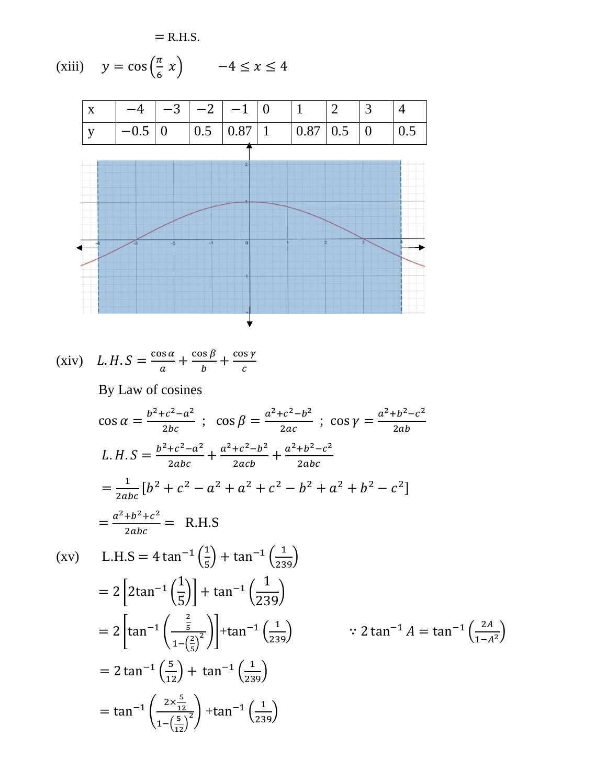$=$  R.H.S.

(xiii) 
$$
y = \cos\left(\frac{\pi}{6} x\right)
$$
  $-4 \le x \le 4$ 



(xiv)  $L.H.S = \frac{\cos \alpha}{\cos \alpha}$  $\frac{\partial s}{\partial a} + \frac{\cos \beta}{b}$  $\frac{\partial s}{\partial b} + \frac{\cos \gamma}{c}$  $rac{15 \gamma}{c}$ By Law of cosines

$$
\cos \alpha = \frac{b^2 + c^2 - a^2}{2bc}; \quad \cos \beta = \frac{a^2 + c^2 - b^2}{2ac}; \quad \cos \gamma = \frac{a^2 + b^2 - c^2}{2ab}
$$
\n
$$
L.H.S = \frac{b^2 + c^2 - a^2}{2abc} + \frac{a^2 + c^2 - b^2}{2abc} + \frac{a^2 + b^2 - c^2}{2abc}
$$
\n
$$
= \frac{1}{2abc} [b^2 + c^2 - a^2 + a^2 + c^2 - b^2 + a^2 + b^2 - c^2]
$$
\n
$$
= \frac{a^2 + b^2 + c^2}{2abc} = \text{R.H.S}
$$
\n
$$
\text{(xv)} \qquad \text{L.H.S} = 4 \tan^{-1} \left(\frac{1}{5}\right) + \tan^{-1} \left(\frac{1}{239}\right)
$$
\n
$$
= 2 \left[ 2 \tan^{-1} \left(\frac{1}{5}\right) \right] + \tan^{-1} \left(\frac{1}{239}\right)
$$
\n
$$
= 2 \left[ \tan^{-1} \left(\frac{\frac{2}{5}}{1 - \left(\frac{2}{5}\right)^2}\right) \right] + \tan^{-1} \left(\frac{1}{239}\right) \qquad \therefore 2 \tan^{-1} A = \tan^{-1} \left(\frac{2A}{1 - A^2}\right)
$$
\n
$$
= 2 \tan^{-1} \left(\frac{5}{12}\right) + \tan^{-1} \left(\frac{1}{239}\right)
$$
\n
$$
= \tan^{-1} \left(\frac{2 \times \frac{5}{12}}{1 - \left(\frac{5}{12}\right)^2}\right) + \tan^{-1} \left(\frac{1}{239}\right)
$$
\n
$$
= \tan^{-1} \left(\frac{2 \times \frac{5}{12}}{1 - \left(\frac{5}{12}\right)^2}\right) + \tan^{-1} \left(\frac{1}{239}\right)
$$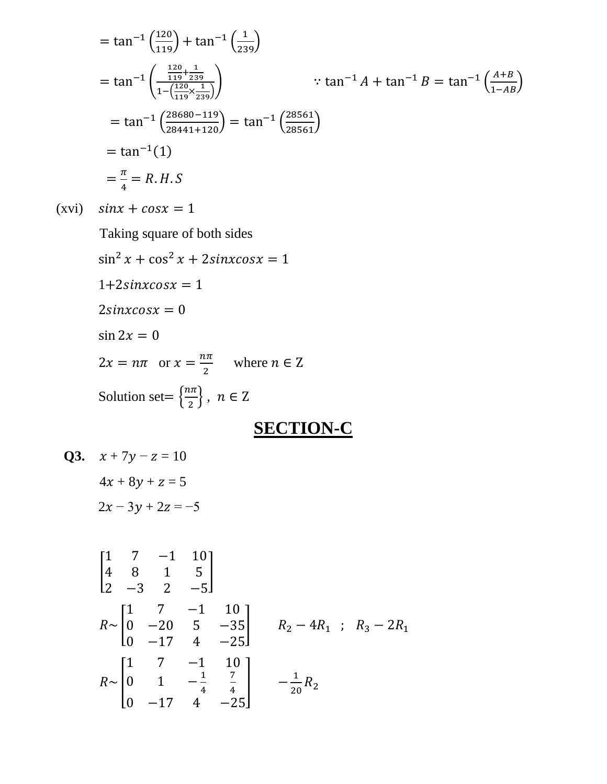$$
= \tan^{-1}\left(\frac{120}{119}\right) + \tan^{-1}\left(\frac{1}{239}\right)
$$
  
\n
$$
= \tan^{-1}\left(\frac{\frac{120}{119} + \frac{1}{239}}{1 - \left(\frac{120}{119} \times \frac{1}{239}\right)}\right) \qquad \therefore \tan^{-1} A + \tan^{-1} B = \tan^{-1}\left(\frac{A+B}{1-AB}\right)
$$
  
\n
$$
= \tan^{-1}\left(\frac{28680 - 119}{28441 + 120}\right) = \tan^{-1}\left(\frac{28561}{28561}\right)
$$
  
\n
$$
= \tan^{-1}(1)
$$
  
\n
$$
= \frac{\pi}{4} = R.H.S
$$

 $(xvi)$   $sinx + cosx = 1$ 

Taking square of both sides

 $\sin^2 x + \cos^2 x + 2 \sin x \cos x = 1$  $1+2 sinxcosx = 1$  $2\sin x \cos x = 0$  $\sin 2x = 0$  $2x = n\pi$  or  $x = \frac{n\pi}{2}$  $\frac{u}{2}$  where  $n \in \mathbb{Z}$ Solution set=  $\frac{n\pi}{2}$  $\left\{\frac{m}{2}\right\},\;n\in\mathbb{Z}$ 

## **SECTION-C**

**Q3.** 
$$
x + 7y - z = 10
$$
  
 $4x + 8y + z = 5$   
 $2x - 3y + 2z = -5$ 

$$
\begin{bmatrix}\n1 & 7 & -1 & 10 \\
4 & 8 & 1 & 5 \\
2 & -3 & 2 & -5\n\end{bmatrix}
$$
\n
$$
R \sim \begin{bmatrix}\n1 & 7 & -1 & 10 \\
0 & -20 & 5 & -35 \\
0 & -17 & 4 & -25\n\end{bmatrix}
$$
\n
$$
R \sim \begin{bmatrix}\n1 & 7 & -1 & 10 \\
0 & 1 & -\frac{1}{4} & \frac{7}{4} \\
0 & -17 & 4 & -25\n\end{bmatrix}
$$
\n
$$
R \sim \begin{bmatrix}\n1 & 7 & -1 & 10 \\
0 & 1 & -\frac{1}{4} & \frac{7}{4} \\
0 & -17 & 4 & -25\n\end{bmatrix}
$$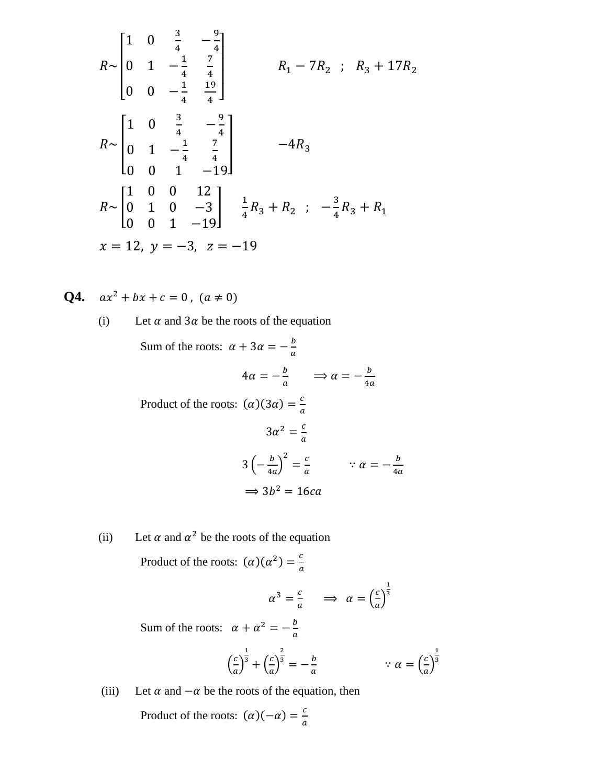$$
R \sim \begin{bmatrix} 1 & 0 & \frac{3}{4} & -\frac{9}{4} \\ 0 & 1 & -\frac{1}{4} & \frac{7}{4} \\ 0 & 0 & -\frac{1}{4} & \frac{19}{4} \end{bmatrix}
$$
  
\n
$$
R \sim \begin{bmatrix} 1 & 0 & \frac{3}{4} & -\frac{9}{4} \\ 0 & 1 & -\frac{1}{4} & \frac{7}{4} \\ 0 & 0 & 1 & -19 \end{bmatrix}
$$
  
\n
$$
R \sim \begin{bmatrix} 1 & 0 & 0 & 12 \\ 0 & 1 & 0 & -3 \\ 0 & 0 & 1 & -19 \end{bmatrix}
$$
  
\n
$$
R \sim \begin{bmatrix} 1 & 0 & 0 & 12 \\ 0 & 1 & 0 & -3 \\ 0 & 0 & 1 & -19 \end{bmatrix}
$$
  
\n
$$
x = 12, y = -3, z = -19
$$
  
\n
$$
x = -3, z = -19
$$

**Q4.**  $ax^2 + bx + c = 0$ ,  $(a \neq 0)$ 

(i) Let 
$$
\alpha
$$
 and  $3\alpha$  be the roots of the equation

Sum of the roots:  $\alpha + 3\alpha = -\frac{b}{a}$  $\alpha$  $4\alpha = -\frac{b}{a}$   $\implies \alpha = -\frac{b}{4a}$  $4a$ Product of the roots:  $(\alpha)(3\alpha) = \frac{c}{a}$  $\alpha$  $3\alpha^2 = \frac{c}{a}$  $\alpha$  $3\left(-\frac{b}{4}\right)$  $\frac{b}{4a}\bigg)^2 = \frac{c}{a}$  $\frac{c}{a}$   $\therefore a = -\frac{b}{4a}$  $4a$  $\Rightarrow$  3b<sup>2</sup> = 16ca

(ii) Let  $\alpha$  and  $\alpha^2$  be the roots of the equation

Product of the roots:  $(\alpha)(\alpha^2) = \frac{c}{\alpha}$  $\alpha$ 

$$
\alpha^3 = \frac{c}{a} \qquad \Rightarrow \quad \alpha = \left(\frac{c}{a}\right)^{\frac{1}{3}}
$$

Sum of the roots:  $\alpha + \alpha^2 = -\frac{b}{a}$  $\alpha$ 

$$
\left(\frac{c}{a}\right)^{\frac{1}{3}} + \left(\frac{c}{a}\right)^{\frac{2}{3}} = -\frac{b}{a} \qquad \therefore a = \left(\frac{c}{a}\right)^{\frac{1}{3}}
$$

(iii) Let  $\alpha$  and  $-\alpha$  be the roots of the equation, then

Product of the roots:  $(\alpha)(-\alpha) = \frac{c}{a}$  $\alpha$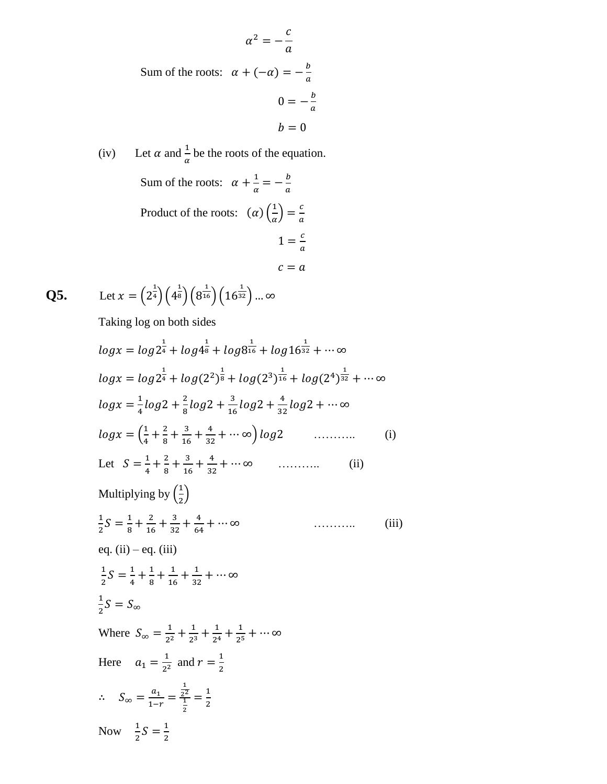$$
\alpha^2 = -\frac{c}{a}
$$
  
Sum of the roots:  $\alpha + (-\alpha) = -\frac{b}{a}$   

$$
0 = -\frac{b}{a}
$$
  

$$
b = 0
$$

(iv) Let 
$$
\alpha
$$
 and  $\frac{1}{\alpha}$  be the roots of the equation.  
\nSum of the roots:  $\alpha + \frac{1}{\alpha} = -\frac{b}{a}$   
\nProduct of the roots:  $(\alpha) \left(\frac{1}{\alpha}\right) = \frac{c}{a}$   
\n $1 = \frac{c}{a}$   
\n $c = a$ 

**Q5.** Let  $x = \left(2^{\frac{1}{4}}\right)\left(4^{\frac{1}{8}}\right)\left(8^{\frac{1}{16}}\right)\left(16^{\frac{1}{32}}\right)...\infty$ 

Taking log on both sides

$$
\log x = \log 2^{\frac{1}{4}} + \log 4^{\frac{1}{8}} + \log 8^{\frac{1}{16}} + \log 16^{\frac{1}{32}} + \cdots \infty
$$
\n
$$
\log x = \log 2^{\frac{1}{4}} + \log (2^2)^{\frac{1}{8}} + \log (2^3)^{\frac{1}{16}} + \log (2^4)^{\frac{1}{32}} + \cdots \infty
$$
\n
$$
\log x = \frac{1}{4} \log 2 + \frac{2}{8} \log 2 + \frac{3}{16} \log 2 + \frac{4}{32} \log 2 + \cdots \infty
$$
\n
$$
\log x = \left(\frac{1}{4} + \frac{2}{8} + \frac{3}{16} + \frac{4}{32} + \cdots \infty\right) \log 2 \quad \dots \infty
$$
\n
$$
\text{Let } S = \frac{1}{4} + \frac{2}{8} + \frac{3}{16} + \frac{4}{32} + \cdots \infty \quad \dots \infty
$$
\n(i) Multiplying by 
$$
\left(\frac{1}{2}\right)
$$
\n
$$
\frac{1}{2}S = \frac{1}{8} + \frac{2}{16} + \frac{3}{32} + \frac{4}{64} + \cdots \infty \quad \dots \infty
$$
\n
$$
\text{eq. (ii) } - \text{eq. (iii)}
$$
\n
$$
\frac{1}{2}S = \frac{1}{4} + \frac{1}{8} + \frac{1}{16} + \frac{1}{32} + \cdots \infty
$$
\n
$$
\frac{1}{2}S = S_{\infty}
$$
\nWhere 
$$
S_{\infty} = \frac{1}{2^2} + \frac{1}{2^3} + \frac{1}{2^4} + \frac{1}{2^5} + \cdots \infty
$$
\nHere 
$$
a_1 = \frac{1}{2^2} \text{ and } r = \frac{1}{2}
$$
\n
$$
\therefore S_{\infty} = \frac{a_1}{1 - r} = \frac{\frac{1}{2^2}}{\frac{1}{2}} = \frac{1}{2}
$$
\nNow 
$$
\frac{1}{2}S = \frac{1}{2}
$$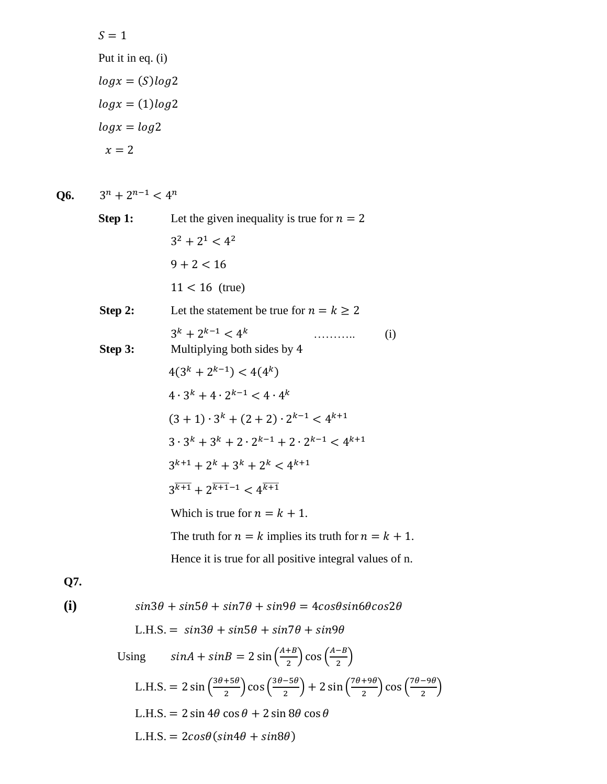$$
S = 1
$$
  
Put it in eq. (i)  

$$
log x = (S) log 2
$$
  

$$
log x = (1) log 2
$$
  

$$
log x = log 2
$$
  

$$
x = 2
$$

**Q6.** 3  $n + 2^{n-1} < 4^n$ 

| Step 1: | Let the given inequality is true for $n = 2$                                    |
|---------|---------------------------------------------------------------------------------|
|         | $3^2 + 2^1 < 4^2$                                                               |
|         | $9 + 2 < 16$                                                                    |
|         | $11 < 16$ (true)                                                                |
| Step 2: | Let the statement be true for $n = k \ge 2$                                     |
| Step 3: | $3^k + 2^{k-1} < 4^k$<br>(i)<br>Multiplying both sides by 4                     |
|         | $4(3^k+2^{k-1}) < 4(4^k)$                                                       |
|         | $4 \cdot 3^k + 4 \cdot 2^{k-1} < 4 \cdot 4^k$                                   |
|         | $(3+1)\cdot 3^k + (2+2)\cdot 2^{k-1} < 4^{k+1}$                                 |
|         | $3 \cdot 3^k + 3^k + 2 \cdot 2^{k-1} + 2 \cdot 2^{k-1} < 4^{k+1}$               |
|         | $3^{k+1}$ + 2 <sup>k</sup> + 3 <sup>k</sup> + 2 <sup>k</sup> < 4 <sup>k+1</sup> |
|         | $3^{\overline{k+1}} + 2^{\overline{k+1}-1} < 4^{\overline{k+1}}$                |
|         | Which is true for $n = k + 1$ .                                                 |
|         | The truth for $n = k$ implies its truth for $n = k + 1$ .                       |
|         | Hence it is true for all positive integral values of n.                         |
|         |                                                                                 |

**Q7.**

(i)  
\n
$$
sin3\theta + sin5\theta + sin7\theta + sin9\theta = 4cos\theta sin6\theta cos2\theta
$$
\nL.H.S. =  $sin3\theta + sin5\theta + sin7\theta + sin9\theta$   
\nUsing  $sinA + sinB = 2 sin(\frac{A+B}{2}) cos(\frac{A-B}{2})$   
\nL.H.S. =  $2 sin(\frac{3\theta + 5\theta}{2}) cos(\frac{3\theta - 5\theta}{2}) + 2 sin(\frac{7\theta + 9\theta}{2}) cos(\frac{7\theta - 9\theta}{2})$   
\nL.H.S. =  $2 sin 4\theta cos \theta + 2 sin 8\theta cos \theta$   
\nL.H.S. =  $2cos\theta(sin4\theta + sin8\theta)$